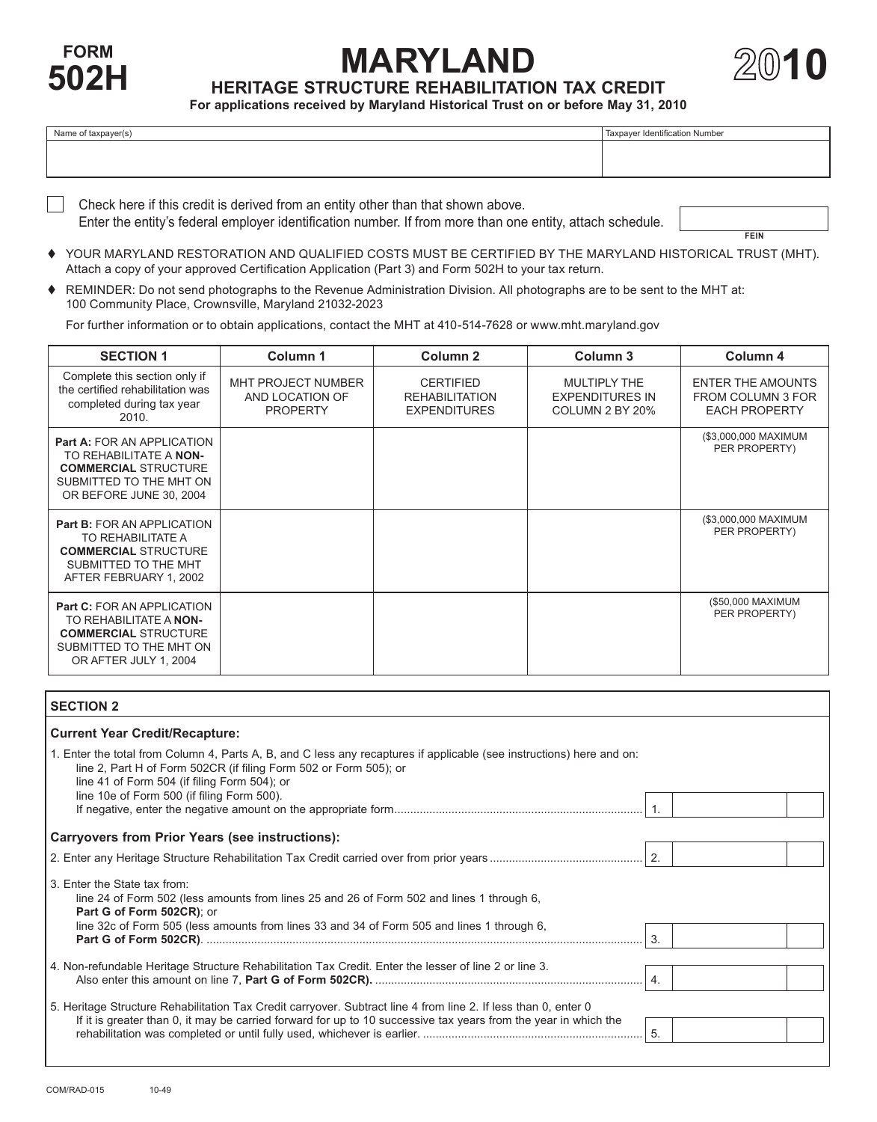

# **100 FORM 10 HERITAGE STRUCTURE REHABILITATION TAX CREDIT**



**For applications received by Maryland Historical Trust on or before May 31, 2010**

| Name of taxpayer(s) | Taxpayer Identification Number |
|---------------------|--------------------------------|
|                     |                                |
|                     |                                |

 Check here if this credit is derived from an entity other than that shown above. Enter the entity's federal employer identification number. If from more than one entity, attach schedule.

**FEIN**

- YOUR MARYLAND RESTORATION AND QUALIFIED COSTS MUST BE CERTIFIED BY THE MARYLAND HISTORICAL TRUST (MHT). Attach a copy of your approved Certification Application (Part 3) and Form 502H to your tax return.
- REMINDER: Do not send photographs to the Revenue Administration Division. All photographs are to be sent to the MHT at: 100 Community Place, Crownsville, Maryland 21032-2023

 For further information or to obtain applications, contact the MHT at 410-514-7628 or <www.mht.maryland.gov>

| <b>SECTION 1</b>                                                                                                                                 | Column 1                                                 | Column <sub>2</sub>                                              | Column 3                                                  | Column 4                                                              |
|--------------------------------------------------------------------------------------------------------------------------------------------------|----------------------------------------------------------|------------------------------------------------------------------|-----------------------------------------------------------|-----------------------------------------------------------------------|
| Complete this section only if<br>the certified rehabilitation was<br>completed during tax year<br>2010.                                          | MHT PROJECT NUMBER<br>AND LOCATION OF<br><b>PROPERTY</b> | <b>CERTIFIED</b><br><b>REHABILITATION</b><br><b>EXPENDITURES</b> | MULTIPLY THE<br><b>EXPENDITURES IN</b><br>COLUMN 2 BY 20% | <b>ENTER THE AMOUNTS</b><br>FROM COLUMN 3 FOR<br><b>EACH PROPERTY</b> |
| <b>Part A: FOR AN APPLICATION</b><br>TO REHABILITATE A NON-<br><b>COMMERCIAL STRUCTURE</b><br>SUBMITTED TO THE MHT ON<br>OR BEFORE JUNE 30, 2004 |                                                          |                                                                  |                                                           | (\$3,000,000 MAXIMUM<br>PER PROPERTY)                                 |
| <b>Part B: FOR AN APPLICATION</b><br>TO REHABILITATE A<br><b>COMMERCIAL STRUCTURE</b><br>SUBMITTED TO THE MHT<br>AFTER FEBRUARY 1, 2002          |                                                          |                                                                  |                                                           | (\$3,000,000 MAXIMUM<br>PER PROPERTY)                                 |
| <b>Part C: FOR AN APPLICATION</b><br>TO REHABILITATE A NON-<br><b>COMMERCIAL STRUCTURE</b><br>SUBMITTED TO THE MHT ON<br>OR AFTER JULY 1, 2004   |                                                          |                                                                  |                                                           | (\$50,000 MAXIMUM<br>PER PROPERTY)                                    |

### **SECTION 2**

|  |  | <b>Current Year Credit/Recapture:</b> |
|--|--|---------------------------------------|
|--|--|---------------------------------------|

| 1. Enter the total from Column 4, Parts A, B, and C less any recaptures if applicable (see instructions) here and on:<br>line 2, Part H of Form 502CR (if filing Form 502 or Form 505); or<br>line 41 of Form 504 (if filing Form 504); or<br>line 10e of Form 500 (if filing Form 500). |            |
|------------------------------------------------------------------------------------------------------------------------------------------------------------------------------------------------------------------------------------------------------------------------------------------|------------|
| <b>Carryovers from Prior Years (see instructions):</b>                                                                                                                                                                                                                                   |            |
|                                                                                                                                                                                                                                                                                          |            |
| 3. Enter the State tax from:<br>line 24 of Form 502 (less amounts from lines 25 and 26 of Form 502 and lines 1 through 6,<br>Part G of Form 502CR); or<br>line 32c of Form 505 (less amounts from lines 33 and 34 of Form 505 and lines 1 through 6,                                     | 3.         |
| 4. Non-refundable Heritage Structure Rehabilitation Tax Credit. Enter the lesser of line 2 or line 3.                                                                                                                                                                                    | $\vert 4.$ |
| 5. Heritage Structure Rehabilitation Tax Credit carryover. Subtract line 4 from line 2. If less than 0, enter 0<br>If it is greater than 0, it may be carried forward for up to 10 successive tax years from the year in which the                                                       | -5.        |